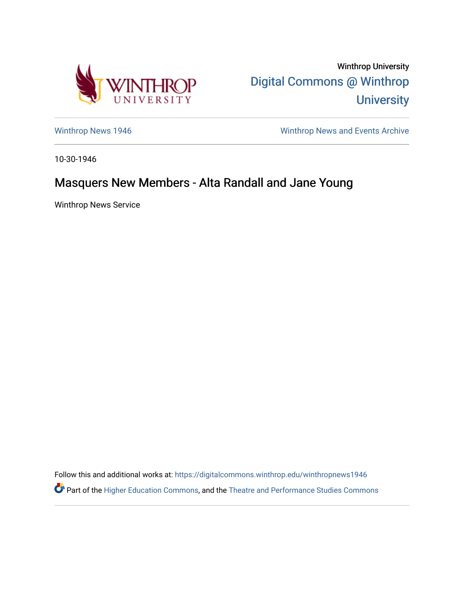

Winthrop University [Digital Commons @ Winthrop](https://digitalcommons.winthrop.edu/)  **University** 

[Winthrop News 1946](https://digitalcommons.winthrop.edu/winthropnews1946) Minthrop News and Events Archive

10-30-1946

## Masquers New Members - Alta Randall and Jane Young

Winthrop News Service

Follow this and additional works at: [https://digitalcommons.winthrop.edu/winthropnews1946](https://digitalcommons.winthrop.edu/winthropnews1946?utm_source=digitalcommons.winthrop.edu%2Fwinthropnews1946%2F32&utm_medium=PDF&utm_campaign=PDFCoverPages)  Part of the [Higher Education Commons,](http://network.bepress.com/hgg/discipline/1245?utm_source=digitalcommons.winthrop.edu%2Fwinthropnews1946%2F32&utm_medium=PDF&utm_campaign=PDFCoverPages) and the [Theatre and Performance Studies Commons](http://network.bepress.com/hgg/discipline/552?utm_source=digitalcommons.winthrop.edu%2Fwinthropnews1946%2F32&utm_medium=PDF&utm_campaign=PDFCoverPages)